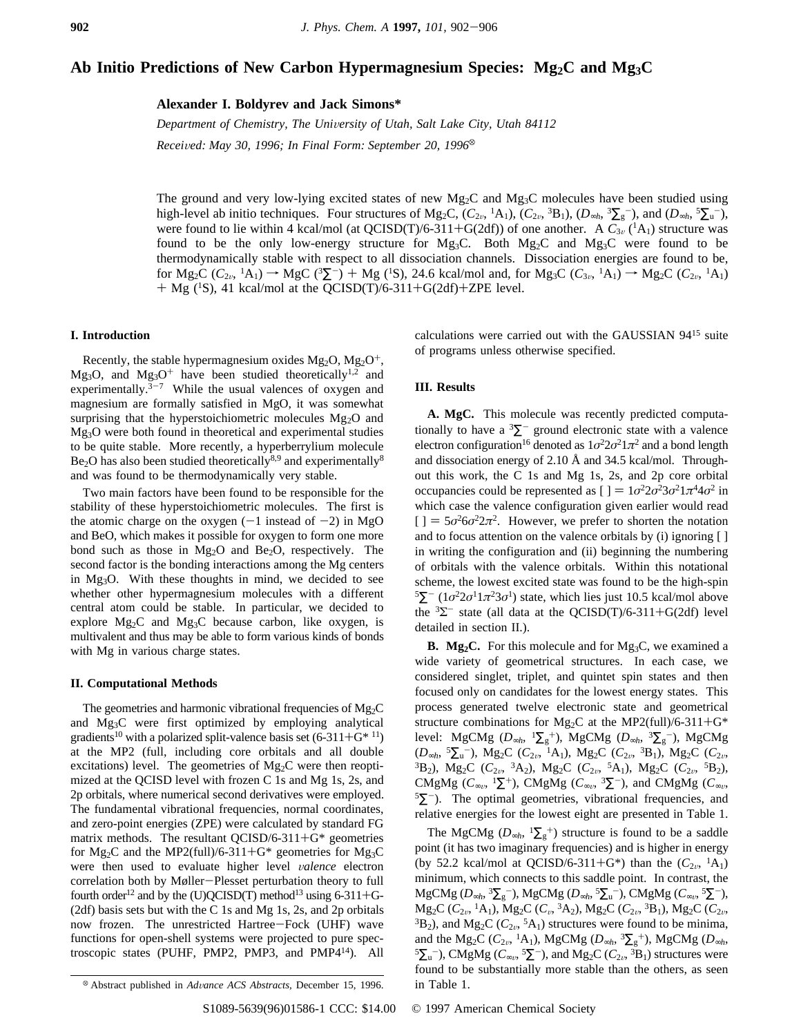# Ab Initio Predictions of New Carbon Hypermagnesium Species: Mg<sub>2</sub>C and Mg<sub>3</sub>C

**Alexander I. Boldyrev and Jack Simons\***

*Department of Chemistry, The Uni*V*ersity of Utah, Salt Lake City, Utah 84112 Received: May 30, 1996; In Final Form: September 20, 1996*<sup>®</sup>

The ground and very low-lying excited states of new  $Mg_2C$  and  $Mg_3C$  molecules have been studied using high-level ab initio techniques. Four structures of Mg<sub>2</sub>C,  $(C_{2\nu}, {}^{1}A_{1})$ ,  $(C_{2\nu}, {}^{3}B_{1})$ ,  $(D_{\infty h}, {}^{3}\Sigma_{g}^{-})$ , and  $(D_{\infty h}, {}^{5}\Sigma_{u}^{-})$ , were found to lie within 4 kcal/mol (at QCISD(T)/6-311+G(2df)) of one another. A  $C_{3v}^{8}$  (<sup>1</sup>A<sub>1</sub>) structure was found to be the only low-energy structure for  $Mg_3C$ . Both  $Mg_2C$  and  $Mg_3C$  were found to be thermodynamically stable with respect to all dissociation channels. Dissociation energies are found to be, for  $Mg_2C(C_{2\nu}, {}^{1}A_1) \rightarrow MgC({}^{3}\Sigma^{-}) + Mg({}^{1}S)$ , 24.6 kcal/mol and, for  $Mg_3C(C_{3\nu}, {}^{1}A_1) \rightarrow Mg_2C(C_{2\nu}, {}^{1}A_1)$  $+$  Mg (<sup>1</sup>S), 41 kcal/mol at the QCISD(T)/6-311+G(2df)+ZPE level.

## **I. Introduction**

Recently, the stable hypermagnesium oxides  $Mg_2O$ ,  $Mg_2O^+$ , Mg<sub>3</sub>O, and Mg<sub>3</sub>O<sup>+</sup> have been studied theoretically<sup>1,2</sup> and experimentally. $3-7$  While the usual valences of oxygen and magnesium are formally satisfied in MgO, it was somewhat surprising that the hyperstoichiometric molecules Mg<sub>2</sub>O and Mg3O were both found in theoretical and experimental studies to be quite stable. More recently, a hyperberrylium molecule  $Be<sub>2</sub>O$  has also been studied theoretically<sup>8,9</sup> and experimentally<sup>8</sup> and was found to be thermodynamically very stable.

Two main factors have been found to be responsible for the stability of these hyperstoichiometric molecules. The first is the atomic charge on the oxygen  $(-1)$  instead of  $-2$ ) in MgO and BeO, which makes it possible for oxygen to form one more bond such as those in  $Mg_2O$  and  $Be_2O$ , respectively. The second factor is the bonding interactions among the Mg centers in Mg3O. With these thoughts in mind, we decided to see whether other hypermagnesium molecules with a different central atom could be stable. In particular, we decided to explore Mg2C and Mg3C because carbon, like oxygen, is multivalent and thus may be able to form various kinds of bonds with Mg in various charge states.

## **II. Computational Methods**

The geometries and harmonic vibrational frequencies of  $Mg_2C$ and Mg3C were first optimized by employing analytical gradients<sup>10</sup> with a polarized split-valence basis set  $(6-311+G^{*11})$ at the MP2 (full, including core orbitals and all double excitations) level. The geometries of  $Mg_2C$  were then reoptimized at the QCISD level with frozen C 1s and Mg 1s, 2s, and 2p orbitals, where numerical second derivatives were employed. The fundamental vibrational frequencies, normal coordinates, and zero-point energies (ZPE) were calculated by standard FG matrix methods. The resultant  $QCISD/6-311+G^*$  geometries for Mg<sub>2</sub>C and the MP2(full)/6-311+G<sup>\*</sup> geometries for Mg<sub>3</sub>C were then used to evaluate higher level V*alence* electron correlation both by Møller-Plesset perturbation theory to full fourth order<sup>12</sup> and by the (U)QCISD(T) method<sup>13</sup> using 6-311+G-(2df) basis sets but with the C 1s and Mg 1s, 2s, and 2p orbitals now frozen. The unrestricted Hartree-Fock (UHF) wave functions for open-shell systems were projected to pure spectroscopic states (PUHF, PMP2, PMP3, and PMP414). All calculations were carried out with the GAUSSIAN 9415 suite of programs unless otherwise specified.

## **III. Results**

**A. MgC.** This molecule was recently predicted computationally to have a  ${}^{3}\Sigma^{-}$  ground electronic state with a valence electron configuration<sup>16</sup> denoted as  $1\sigma^2 2\sigma^2 1\pi^2$  and a bond length and dissociation energy of 2.10 Å and 34.5 kcal/mol. Throughout this work, the C 1s and Mg 1s, 2s, and 2p core orbital occupancies could be represented as  $[$   $] = 1\sigma^2 2\sigma^2 3\sigma^2 1\pi^4 4\sigma^2$  in which case the valence configuration given earlier would read  $[$   $] = 5\sigma^2 6\sigma^2 2\pi^2$ . However, we prefer to shorten the notation and to focus attention on the valence orbitals by (i) ignoring [ ] in writing the configuration and (ii) beginning the numbering of orbitals with the valence orbitals. Within this notational scheme, the lowest excited state was found to be the high-spin <sup>5</sup> $\Sigma^-$  (1*σ*<sup>2</sup>2*σ*<sup>1</sup>1*π*<sup>2</sup>3*σ*<sup>1</sup>) state, which lies just 10.5 kcal/mol above the  ${}^{3}\Sigma^{-}$  state (all data at the QCISD(T)/6-311+G(2df) level detailed in section II.).

**B.** Mg<sub>2</sub>C. For this molecule and for Mg<sub>3</sub>C, we examined a wide variety of geometrical structures. In each case, we considered singlet, triplet, and quintet spin states and then focused only on candidates for the lowest energy states. This process generated twelve electronic state and geometrical structure combinations for Mg<sub>2</sub>C at the MP2(full)/6-311+G\* level: MgCMg (*D*∞*<sup>h</sup>*, <sup>1</sup>∑<sup>g</sup> <sup>+</sup>), MgCMg (*D*∞*<sup>h</sup>*, <sup>3</sup>∑<sup>g</sup> -), MgCMg (*D*∞*<sup>h</sup>*, <sup>5</sup>∑<sup>u</sup> -), Mg2C (*C*2<sup>V</sup>, 1A1), Mg2C (*C*2<sup>V</sup>, 3B1), Mg2C (*C*2<sup>V</sup>, <sup>3</sup>B<sub>2</sub>), Mg<sub>2</sub>C ( $C_{2v}$ , <sup>3</sup>A<sub>2</sub>), Mg<sub>2</sub>C ( $C_{2v}$ , <sup>5</sup>A<sub>1</sub>), Mg<sub>2</sub>C ( $C_{2v}$ , <sup>5</sup>B<sub>2</sub>), CMgMg ( $C_{\infty}$ , <sup>1</sup> $\Sigma$ <sup>+</sup>), CMgMg ( $C_{\infty}$ , <sup>3</sup> $\Sigma$ <sup>-</sup>), and CMgMg ( $C_{\infty}$ ,  $5\Sigma$ <sup>-</sup>). The optimal geometries, vibrational frequencies, and relative energies for the lowest eight are presented in Table 1.

The MgCMg ( $D_{\infty h}$ ,  ${}^{1}\Sigma_{g}^{+}$ ) structure is found to be a saddle point (it has two imaginary frequencies) and is higher in energy (by 52.2 kcal/mol at QCISD/6-311+G<sup>\*</sup>) than the  $(C_{2v}, {}^{1}A_{1})$ minimum, which connects to this saddle point. In contrast, the MgCMg (*D*∞*<sup>h</sup>*, <sup>3</sup>∑<sup>g</sup> -), MgCMg (*D*∞*<sup>h</sup>*, <sup>5</sup>∑<sup>u</sup> -), CMgMg (*C*∞<sup>V</sup>, <sup>5</sup>∑-), Mg2C (*C*2<sup>V</sup>, 1A1), Mg2C (*C*V, 3A2), Mg2C (*C*2<sup>V</sup>, 3B1), Mg2C (*C*2<sup>V</sup>,  ${}^{3}B_2$ ), and Mg<sub>2</sub>C ( $C_{2v}$ ,  ${}^{5}A_1$ ) structures were found to be minima, and the Mg<sub>2</sub>C ( $C_{2v}$ , <sup>1</sup>A<sub>1</sub>), MgCMg ( $D_{\infty h}$ , <sup>3</sup> $\sum_{g}$ <sup>+</sup>), MgCMg ( $D_{\infty h}$ ,  ${}^{5}\Sigma_{\mathrm{u}}$ <sup>-</sup>), CMgMg ( $C_{\infty\nu}$ ,  ${}^{5}\Sigma$ <sup>-</sup>), and Mg<sub>2</sub>C ( $C_{2\nu}$ ,  ${}^{3}\text{B}_{1}$ ) structures were found to be substantially more stable than the others, as seen

<sup>&</sup>lt;sup>®</sup> Abstract published in *Advance ACS Abstracts*, December 15, 1996. in Table 1.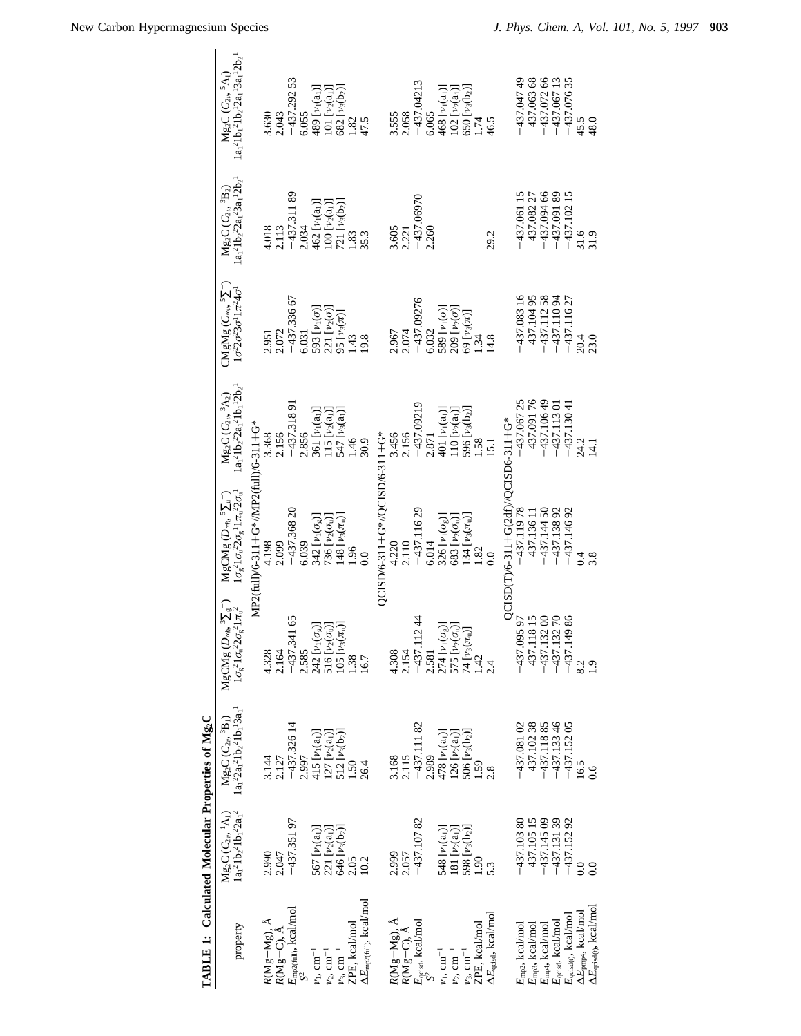| TABLE 1: Calculated Molecular Properties of Mg <sub>2</sub> C                                                                                                      |                                                                                                                                     |                                                                          |                                                                                                                                                                         |                                                                                                                                 |                                                                |                                                                                                                                                  |                                                                                                                             |                                                                           |
|--------------------------------------------------------------------------------------------------------------------------------------------------------------------|-------------------------------------------------------------------------------------------------------------------------------------|--------------------------------------------------------------------------|-------------------------------------------------------------------------------------------------------------------------------------------------------------------------|---------------------------------------------------------------------------------------------------------------------------------|----------------------------------------------------------------|--------------------------------------------------------------------------------------------------------------------------------------------------|-----------------------------------------------------------------------------------------------------------------------------|---------------------------------------------------------------------------|
| property                                                                                                                                                           | $1a_1^21b_2^21b_1^22a_1^2$<br>$Mg_2C(C_{2\nu}, {}^{1}A_1)$                                                                          | $1a_1^22a_1^21b_2^21b_1^13a_1^1$<br>$Mg_2C(C_{2\nu}, {}^3B_1)$           | ${ {\rm MgCMg}}\left( {{D_{\ast h}},{\rm{^3}}{\Sigma_{\rm{g}}}} \right) \over {\rm{1}}\sigma_{\rm{g}}^{2}1{\sigma_{\rm{u}}}^{22}\sigma_{\rm{g}}^{2}1{\pi_{\rm{u}}}^{2}$ | $1\sigma_g^2 1\sigma_u^2 2\sigma_g^1 1\pi_u^2 2\sigma_u^1$<br>${ {\rm MgC Mg}}\left( {{D_{\sim h}},{^5\Sigma_{\rm u}}} \right)$ | $(a_1^21b_2^22a_1^21b_1^12b_2^1$<br>$Mg_2C(C_{2\nu}, {}^3A_2)$ | $\mathsf{CMgMg}\left(\mathcal{C}_{\scriptscriptstyle\mathsf{exp}},\mathfrak{I}\Sigma\right)$<br>$1\sigma^2 2\sigma^2 3\sigma^1 1\pi^2 4\sigma^1$ | $a_1^21b_2^22a_1^23a_1^12b_2^1$<br>${ {\rm Mg}_2C\left( C_{2\nu},\,{}^3\!{B}_2 \right) }$                                   | $1a_1^21b_1^21b_2^12a_1^13a_1^12b_2^1$<br>$Mg_2C(C_{2\nu}, {}^5A_1)$      |
|                                                                                                                                                                    |                                                                                                                                     |                                                                          |                                                                                                                                                                         | MP2(full)/6-311+G*/MP2(full)/6-311+G*                                                                                           |                                                                |                                                                                                                                                  |                                                                                                                             |                                                                           |
| $\begin{array}{l} R(\mathbf{M}\mathbf{g}-\mathbf{M}\mathbf{g}), \ \mathbf{\mathring{A}}\\ R(\mathbf{M}\mathbf{g}-\mathbf{C}), \ \mathbf{\mathring{A}} \end{array}$ | 2.990                                                                                                                               | 3.144                                                                    | 4.328                                                                                                                                                                   | 4.198                                                                                                                           | 3.368                                                          | 2.951                                                                                                                                            | 4.018                                                                                                                       | 3.630                                                                     |
|                                                                                                                                                                    | 2.047                                                                                                                               | 2.127                                                                    | 2.164                                                                                                                                                                   | 2.099                                                                                                                           | 2.156                                                          | 2.072                                                                                                                                            | 2.113                                                                                                                       | 2.043                                                                     |
|                                                                                                                                                                    | $-437.35197$                                                                                                                        |                                                                          | $-437.34165$<br>2.585                                                                                                                                                   | $-437.36820$<br>6.039                                                                                                           | $-437.31891$                                                   | $-437.33667$                                                                                                                                     | $-437.31189$                                                                                                                | $-437.29253$                                                              |
| $E_{\text{mp2(full)}},$ kcal/mol<br>$\langle S^2 \rangle$                                                                                                          |                                                                                                                                     | $-437.32614$<br>2.997                                                    |                                                                                                                                                                         |                                                                                                                                 | 2.856                                                          | 6.031                                                                                                                                            | 2.034                                                                                                                       | 6.055                                                                     |
| $\nu_{\rm l},\,{\rm cm}^{-1}$                                                                                                                                      |                                                                                                                                     |                                                                          |                                                                                                                                                                         | 342 $[\nu_1(\sigma_{\rm g})]$                                                                                                   | 361 [v <sub>1</sub> (a <sub>1</sub> )]                         |                                                                                                                                                  | $\begin{array}{c} 462\,\left[\nu_1(a_1)\right] \\ 100\,\left[\nu_2(a_1)\right] \\ 721\,\left[\nu_3(b_2)\right] \end{array}$ | 489 [v <sub>1</sub> (a <sub>1</sub> )]                                    |
| $\nu_2,\,{\rm cm}^{-1}$                                                                                                                                            |                                                                                                                                     |                                                                          |                                                                                                                                                                         | 736 $[\nu_2(\sigma_u)]$                                                                                                         |                                                                | 593 $[\nu_1(\sigma)]$<br>221 $[\nu_2(\sigma)]$                                                                                                   |                                                                                                                             |                                                                           |
| $\nu_3,\,{\rm cm}^{-1}$                                                                                                                                            |                                                                                                                                     |                                                                          |                                                                                                                                                                         | $[148 \ [\nu_3(\pi_u)]$                                                                                                         | 115 $[v_2(a_1)]$<br>547 $[v_3(a_1)]$                           | $[(\pi)\varepsilon d]$ 56                                                                                                                        |                                                                                                                             | $\frac{101}{682} \frac{[v_2(a_1)]}{[v_3(b_2)]}$                           |
| ZPE, kcal/mol                                                                                                                                                      |                                                                                                                                     |                                                                          |                                                                                                                                                                         | 061                                                                                                                             | $-46$                                                          | $\frac{43}{5}$                                                                                                                                   | 1.83                                                                                                                        |                                                                           |
| $\Delta E_{\rm mp2 (full)}$ , kcal/mol                                                                                                                             | 567 $\begin{bmatrix} \nu_1(a_1) \\ 221 & \nu_2(a_1) \end{bmatrix}$<br>646 $\begin{bmatrix} \nu_3(b_2) \\ 3.05 & 2.05 \end{bmatrix}$ | 415 $[v_1(a_1)]$<br>127 $[v_2(a_1)]$<br>512 $[v_3(b_2)]$<br>1.50<br>1.50 | 242 $\left[\nu_1(\sigma_{\rm g})\right]$<br>516 $\left[\nu_2(\sigma_{\rm u})\right]$<br>105 $\left[\nu_3(\pi_{\rm u})\right]$<br>1.38                                   | $\overline{0}$ .                                                                                                                | 30.9                                                           | 19.8                                                                                                                                             | 35.3                                                                                                                        | 1.82<br>47.5                                                              |
|                                                                                                                                                                    |                                                                                                                                     |                                                                          |                                                                                                                                                                         | QCISD/6-311+G*//QCISD/6-311+G*                                                                                                  |                                                                |                                                                                                                                                  |                                                                                                                             |                                                                           |
|                                                                                                                                                                    | 2.999                                                                                                                               |                                                                          |                                                                                                                                                                         | 4.220                                                                                                                           | 3.456                                                          | 2.967                                                                                                                                            | 3.605                                                                                                                       | 3.555                                                                     |
| $\label{eq:RMg-Mg} \begin{array}{l} R(\mathbf{Mg}\!-\!\mathbf{Mg}), \mathbf{\mathring{A}} \\ R(\mathbf{Mg}\!-\!\mathbf{C}), \mathbf{\mathring{A}} \end{array}$     | 2.057                                                                                                                               | 3.168                                                                    | 4.308<br>2.154                                                                                                                                                          | 2.110                                                                                                                           | 2.156                                                          | 2.074                                                                                                                                            | 2.221                                                                                                                       | 2.058                                                                     |
|                                                                                                                                                                    | $-437.10782$                                                                                                                        | $-437.11182$                                                             | $-437.11244$                                                                                                                                                            | $-437.11629$                                                                                                                    | $-437.09219$                                                   | $-437.09276$                                                                                                                                     | $-437.06970$                                                                                                                | $-437.04213$                                                              |
| $E_{\rm qcisd},$ kcal/mol $\langle S^2 \rangle$                                                                                                                    |                                                                                                                                     | 2.989                                                                    | 2.581                                                                                                                                                                   | 6.014                                                                                                                           | 2.871                                                          | 6.032                                                                                                                                            | 2.260                                                                                                                       | 6.065                                                                     |
| $\nu_1,\,\mathrm{cm}^{-1}$                                                                                                                                         | 548 $\frac{[p_1(a_1)]}{[p_2(a_1)]}$<br>181 $\frac{[p_2(a_1)]}{[p_3(b_2)]}$<br>1.90                                                  | 478 $[\nu_1(a_1)]$<br>126 $[\nu_2(a_1)]$<br>506 $[\nu_3(b_2)]$<br>1.59   | $\begin{array}{l} 274 \ [ \nu_1(\sigma_{\rm g})] \\ 575 \ [ \nu_2(\sigma_{\rm u})] \\ 74 \ [ \nu_3(\pi_{\rm u})] \\ 1.42 \end{array}$                                   | 326 $[\nu_1(\sigma_{\rm g})]$                                                                                                   |                                                                | [01(0)                                                                                                                                           |                                                                                                                             | $\begin{array}{c} 468 \; [\nu_1(a_1)] \\ 102 \; [\nu_2(a_1)] \end{array}$ |
| $\nu_2,\,{\rm cm}^{-1}$                                                                                                                                            |                                                                                                                                     |                                                                          |                                                                                                                                                                         | 683 [ $\nu_2(\sigma_u)$ ]                                                                                                       | 401 $[\nu_1(a_1)]$<br>110 $[\nu_2(a_1)]$                       | $209[v_2(\sigma)]$                                                                                                                               |                                                                                                                             |                                                                           |
| $\nu_3,\,{\rm cm}^{-1}$                                                                                                                                            |                                                                                                                                     |                                                                          |                                                                                                                                                                         | [34 [ $\nu_3(\pi_0)$ ]                                                                                                          | 596 $[\nu_3(b_2)]$                                             | 69 [ $\nu_3(\pi)$ ]                                                                                                                              |                                                                                                                             | $(500 \, [v_3(b_2)]$                                                      |
| ZPE, kcal/mol                                                                                                                                                      |                                                                                                                                     |                                                                          |                                                                                                                                                                         | 1.82                                                                                                                            | 1.58                                                           | 1.34                                                                                                                                             |                                                                                                                             | 1.74                                                                      |
| $\Delta E_{\rm qcisd}$ , kcal/mol                                                                                                                                  |                                                                                                                                     |                                                                          |                                                                                                                                                                         | 0.0                                                                                                                             | 151                                                            | 14.8                                                                                                                                             | 29.2                                                                                                                        | 46.5                                                                      |
|                                                                                                                                                                    |                                                                                                                                     |                                                                          |                                                                                                                                                                         | QCISD(T)/6-311+G(2df)//QCISD6-311+G*                                                                                            |                                                                |                                                                                                                                                  |                                                                                                                             |                                                                           |
| $E_{\rm mp2},$ kcal/mol $E_{\rm mp3},$ kcal/mol                                                                                                                    | $-437.10380$<br>$-437.10515$<br>$-437.14509$                                                                                        | $-437.08102$<br>$-437.10238$<br>$-437.11885$                             | $-437.09597$<br>$-437.11815$<br>$-437.13200$<br>$-437.13270$                                                                                                            | $-437.11978$                                                                                                                    | $-437.06725$                                                   | $-437.08316$                                                                                                                                     | $-437.06115$                                                                                                                | $-437.04749$                                                              |
|                                                                                                                                                                    |                                                                                                                                     |                                                                          |                                                                                                                                                                         | $-437.13611$                                                                                                                    | $-437.09176$                                                   | $-437.10495$                                                                                                                                     | $-437.08227$                                                                                                                | $-437.06368$                                                              |
|                                                                                                                                                                    |                                                                                                                                     |                                                                          |                                                                                                                                                                         | $-437.14450$                                                                                                                    | $-437.10649$                                                   | $-437.11258$                                                                                                                                     | $-437.09466$                                                                                                                | $-437.07266$                                                              |
| $E_{\rm mp4}$ , kcal/mol $E_{\rm qsisd}$ kcal/mol                                                                                                                  |                                                                                                                                     |                                                                          |                                                                                                                                                                         | $-437.13892$                                                                                                                    | $-437.11301$                                                   | $-437.11094$                                                                                                                                     | $-437.09189$                                                                                                                | $-437.06713$                                                              |
|                                                                                                                                                                    | $-437.131$ 39<br>$-437.152$ 92                                                                                                      | $-437.13346$<br>$-437.15205$<br>16.5                                     | $-437.14986$                                                                                                                                                            | $-437.14692$                                                                                                                    | $-437.13041$                                                   | $-437.11627$                                                                                                                                     | $-437.10215$                                                                                                                | $-437.07635$                                                              |
| $E_{\text{qes}(t)}$ , kcal/mol<br>$\Delta E_{\text{pmpt}}$ , kcal/mol                                                                                              |                                                                                                                                     |                                                                          |                                                                                                                                                                         |                                                                                                                                 | 24.2                                                           | 20.4                                                                                                                                             | 31.6                                                                                                                        | 45.5                                                                      |
| $\Delta E_{\rm{qcisd(t)}}$ , kcal/mo.                                                                                                                              | 0.0                                                                                                                                 | 0.6                                                                      | $\ddot{0}$                                                                                                                                                              | 3.8                                                                                                                             | 14.1                                                           | 23.0                                                                                                                                             | 31.9                                                                                                                        | 48.0                                                                      |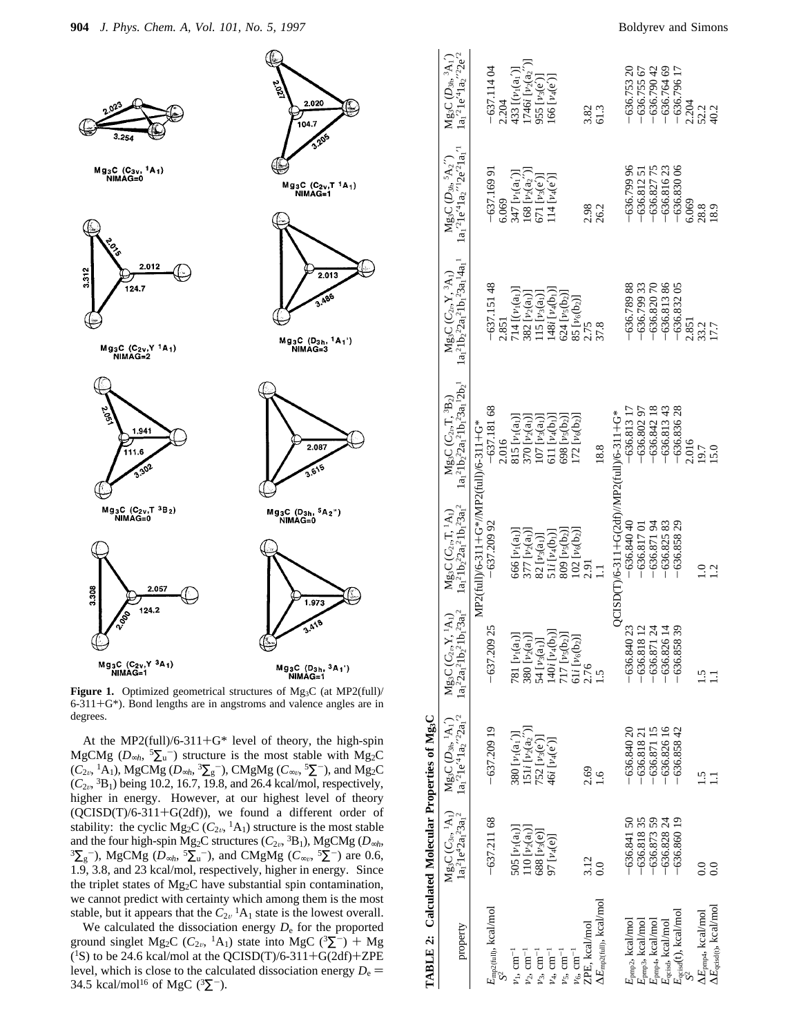

Figure 1. Optimized geometrical structures of Mg<sub>3</sub>C (at MP2(full)/ 6-311+G\*). Bond lengths are in angstroms and valence angles are in degrees.

At the MP2(full)/6-311+G\* level of theory, the high-spin MgCMg ( $D_{\infty h}$ , <sup>5</sup> $\sum_{u}$ <sup>-</sup>) structure is the most stable with Mg<sub>2</sub>C  $(\widetilde{C_{2\nu}}, ^1\widetilde{A_1})$ , MgCMg  $(D_{\infty h}, ^3\Sigma_g^-)$ , CMgMg  $(C_{\infty\nu}, ^5\Sigma^-)$ , and Mg<sub>2</sub>C  $(C_{2v}$ , <sup>3</sup>B<sub>1</sub>) being 10.2, 16.7, 19.8, and 26.4 kcal/mol, respectively, higher in energy. However, at our highest level of theory (QCISD(T)/6-311+G(2df)), we found a different order of stability: the cyclic Mg<sub>2</sub>C ( $C_{2v}$ , <sup>1</sup>A<sub>1</sub>) structure is the most stable and the four high-spin Mg<sub>2</sub>C structures ( $C_{2v}$ , <sup>3</sup>B<sub>1</sub>), MgCMg ( $D_{\infty h}$ ,  ${}^{3}\Sigma_{g}$ <sup>-</sup>), MgCMg ( $\overline{D}_{\infty h}$ ,  ${}^{5}\Sigma_{u}^{-}$ ), and CMgMg ( $C_{\infty v}$ ,  ${}^{5}\Sigma^{-}$ ) are 0.6, 1.9, 3.8, and 23 kcal/mol, respectively, higher in energy. Since the triplet states of Mg2C have substantial spin contamination, we cannot predict with certainty which among them is the most stable, but it appears that the  $C_{2v}$ <sup>1</sup>A<sub>1</sub> state is the lowest overall.

We calculated the dissociation energy *D*<sup>e</sup> for the proported ground singlet Mg<sub>2</sub>C ( $C_{2v}$ , <sup>1</sup>A<sub>1</sub>) state into MgC (<sup>3</sup> $\Sigma$ <sup>-</sup>) + Mg  $(^{1}S)$  to be 24.6 kcal/mol at the QCISD(T)/6-311+G(2df)+ZPE level, which is close to the calculated dissociation energy  $D_e$  = 34.5 kcal/mol<sup>16</sup> of MgC ( ${}^{3}\Sigma^{-}$ ).

| TABLE 2: Calculated Molecular Properties of Mg <sub>3</sub> C |                          |                                                                                                                    |                                                                                    |                                                                                 |                                                                              |                                                                                                                                                |                                                                                                                                                                           |                                                                                                |
|---------------------------------------------------------------|--------------------------|--------------------------------------------------------------------------------------------------------------------|------------------------------------------------------------------------------------|---------------------------------------------------------------------------------|------------------------------------------------------------------------------|------------------------------------------------------------------------------------------------------------------------------------------------|---------------------------------------------------------------------------------------------------------------------------------------------------------------------------|------------------------------------------------------------------------------------------------|
| property                                                      | $1a_1^21e^42a_1^23a_1^2$ | $1a_1^21e^{\prime 4}1a_2^{\prime\prime 2}2a_1^{\prime 2}$<br>$Mg_3C(C_{3v}, {}^{1}A_1)$ $Mg_3C(D_{3h}, {}^{1}A_1)$ | $1a_1^22a_1^21b_2^21b_1^23a_1^2$<br>$Mg_3C(C_{2\nu},Y,{}^1A_1)$                    | $(a_1^2 1b_2^2 2a_1^2 1b_1^2 3a_1^2)$<br>$Mg_3C\left(C_{2\nu},T,{}^1A_1\right)$ | $1a_1^21b_2^22a_1^21b_1^23a_1^12b_2^1$<br>$Mg_3C(C_{2v}T, {}^{3}\text{B}_2)$ | $1a_1^21b_2^22a_1^21b_1^23a_1^14a_1^1$<br>$Mg_3C(C_{2\nu},Y,{}^3A_1)$                                                                          | $1a_1^21e^41a_2^22e^21a_1^1$<br>$Mg_3C(D_{3h}, {}^5A_2'')$                                                                                                                | $Mg_3C(D_{3h}, {}^3A_1')$<br>$1a_1^{\prime 2}1e^{\prime 4}1a_2^{\prime \prime 2}2e^{\prime 2}$ |
|                                                               |                          |                                                                                                                    |                                                                                    | MP2(full)/6-311+G*//MP2(full)/6-311+G*                                          |                                                                              |                                                                                                                                                |                                                                                                                                                                           |                                                                                                |
| $E_{\text{mp2(full)}}, \text{kcal/mol}$                       | $-637.21168$             | $-637.20919$                                                                                                       | 25<br>$-637.209$                                                                   | $-637.20992$                                                                    | $-637.18168$                                                                 | $-637.15148$                                                                                                                                   | $-637.16991$                                                                                                                                                              | $-637.11404$                                                                                   |
| $\langle S^2 \rangle$                                         |                          |                                                                                                                    |                                                                                    |                                                                                 | 2.016                                                                        | 2.851                                                                                                                                          | 6.069                                                                                                                                                                     | 2.204                                                                                          |
| $\nu_1,\,\mathrm{cm}^{-1}$                                    | 505 $[\nu_1(a_1)]$       | 380 $[\nu_1(a_1')]$                                                                                                | 781 [v <sub>1</sub> (a <sub>1</sub> )]                                             | 666 $[\nu_1(a_1)]$                                                              | 815 $[\nu_1(a_1)]$                                                           | 714 $[(v_1(a_1))]$                                                                                                                             |                                                                                                                                                                           | 433 [(v <sub>1</sub> (a <sub>1</sub> ')]                                                       |
| $\nu_2,\,\mathrm{cm}^{-1}$                                    | 110 $[\nu_2(a_1)]$       | $\frac{151i\,[\nu_2({\bf a}_2'')]}{752\,[\nu_3({\bf e}')]}$                                                        | 380 [v <sub>2</sub> (a <sub>1</sub> )]                                             | 377 $[\nu_2(a_1)]$                                                              | 370 $[\nu_2(a_1)]$                                                           | $\begin{array}{c} 382\,\left[\nu_2({\rm a_1})\right] \\ 115\,\left[\nu_3({\rm a_1})\right] \\ 148i\,\left[\nu_4({\rm b_1})\right] \end{array}$ | 347 $\lceil \nu_1(\mathbf{a}_1') \rceil$<br>168 $\lceil \nu_2(\mathbf{a}_2'') \rceil$<br>671 $\lceil \nu_3(\mathbf{e}') \rceil$<br>114 $\lceil \nu_4(\mathbf{e}') \rceil$ | [746i [ $\nu_2(a_2'')$ ]                                                                       |
| $\nu_3,\,{\rm cm}^{-1}$                                       | 688 [v <sub>3</sub> (e)] |                                                                                                                    |                                                                                    | $82[v_3(a_1)]$                                                                  | $107 [v_3(a_1)]$                                                             |                                                                                                                                                |                                                                                                                                                                           | (5961)556                                                                                      |
| $\nu_4,\,\mathrm{cm}^{-1}$                                    | 97 [v <sub>4</sub> (e)]  | 46i [v <sub>4</sub> (e')]                                                                                          | 54 $\frac{[v_3(a_1)]}{[40i] [v_4(b_1)]}$                                           | 51 <i>i</i> $[\nu_4(b_1)]$                                                      | 611 $[\nu_4(b_1)]$                                                           |                                                                                                                                                |                                                                                                                                                                           | $[66 \, [ \nu_4(e')]$                                                                          |
| $\nu_5,\,{\rm cm}^{-1}$                                       |                          |                                                                                                                    |                                                                                    | 809 [ $\nu_5(b_2)$ ]                                                            | $698 [v_5(b_2)]$                                                             | 624 $[\nu_5(b_2)]$                                                                                                                             |                                                                                                                                                                           |                                                                                                |
| $\nu_6$ $\rm cm^{-1}$                                         |                          |                                                                                                                    |                                                                                    | $\frac{102}{2.91}$ [ $\nu$ <sub>6</sub> (b <sub>2</sub> )]                      | $[72 [v_6(b_2)]$                                                             |                                                                                                                                                |                                                                                                                                                                           |                                                                                                |
| ZPE, kcal/mol                                                 | 3.12                     | 2.69                                                                                                               | 717 $\frac{[v_5(b_2)]}{[v_6(b_2)]}$<br>61 <i>i</i> $\frac{[v_6(b_2)]}{[v_6(b_2)]}$ |                                                                                 |                                                                              |                                                                                                                                                | 2.98                                                                                                                                                                      |                                                                                                |
| $\Delta E_{\rm mp2 (full)}$ , kcal/mol                        | 0.0                      | $\frac{6}{1}$                                                                                                      | 1.5                                                                                |                                                                                 | 18.8                                                                         | $\frac{85}{2.75} \frac{[\nu_6(b_2)]}{37.8}$                                                                                                    | 26.2                                                                                                                                                                      | 3.82<br>61.3                                                                                   |
|                                                               |                          |                                                                                                                    |                                                                                    | OCISD(T)/6-311+G(2df)/MP2(full)/6-311+G*                                        |                                                                              |                                                                                                                                                |                                                                                                                                                                           |                                                                                                |
| $E_{\mathrm{pmp2}}$ , kcal/mol                                | $-636.84150$             | $-636.84020$                                                                                                       | Z<br>$-636.840$                                                                    | $-636.84040$                                                                    | $-636.81317$                                                                 | $-636.78988$                                                                                                                                   | $-636.79996$                                                                                                                                                              | $-636.75320$                                                                                   |
| $\underline{\boldsymbol{E}}_{\text{pmp3}}, \text{kcal/mol}$   | $-636.81835$             | $-636.81821$                                                                                                       | $\overline{c}$<br>$-636.818$                                                       | $-636.81701$                                                                    | $-636.80297$                                                                 | $-636.79933$                                                                                                                                   | $-636.81251$                                                                                                                                                              | $-636.75567$                                                                                   |
| $E_{\mathrm{pmp4}}, \mathrm{kcal/mol}$                        | $-636.87359$             | $-636.87115$                                                                                                       | $-636.871$                                                                         | $-636.87194$                                                                    | $-636.84218$                                                                 | $-636,82070$                                                                                                                                   | $-636.82775$                                                                                                                                                              | $-636.79042$                                                                                   |
| E <sub>qcisd</sub> , kcal/mol                                 | $-636.82824$             | $-636.82616$                                                                                                       | $-636.826$                                                                         | $-636.82583$                                                                    | $-636.81343$                                                                 | $-636.81386$                                                                                                                                   | $-636.81623$                                                                                                                                                              | $-636.76469$                                                                                   |
| $E_{\text{qcisd}}(t)$ , kcal/mol                              | $-636.86019$             | $-636.85842$                                                                                                       | 39<br>$-636.858$                                                                   | $-636.85829$                                                                    | $-636.83628$                                                                 | $-636.83205$                                                                                                                                   | $-636.83006$                                                                                                                                                              | $-636.79617$                                                                                   |
|                                                               |                          |                                                                                                                    |                                                                                    |                                                                                 | 2.016                                                                        | 2.851                                                                                                                                          | 6.069                                                                                                                                                                     | 2.204                                                                                          |
| $\Delta E_{\text{pmp4}}$ , kcal/mol                           | $\overline{0}$ .         |                                                                                                                    | 1.5                                                                                |                                                                                 | 19.7                                                                         | 33.2                                                                                                                                           | 28.8                                                                                                                                                                      | 52.2<br>40.2                                                                                   |
| AE <sub>qcisd(t)</sub> , kcal/mol                             | $_{0.0}$                 |                                                                                                                    |                                                                                    | 1.2                                                                             | 15.0                                                                         | 17.7                                                                                                                                           | 18.9                                                                                                                                                                      |                                                                                                |
|                                                               |                          |                                                                                                                    |                                                                                    |                                                                                 |                                                                              |                                                                                                                                                |                                                                                                                                                                           |                                                                                                |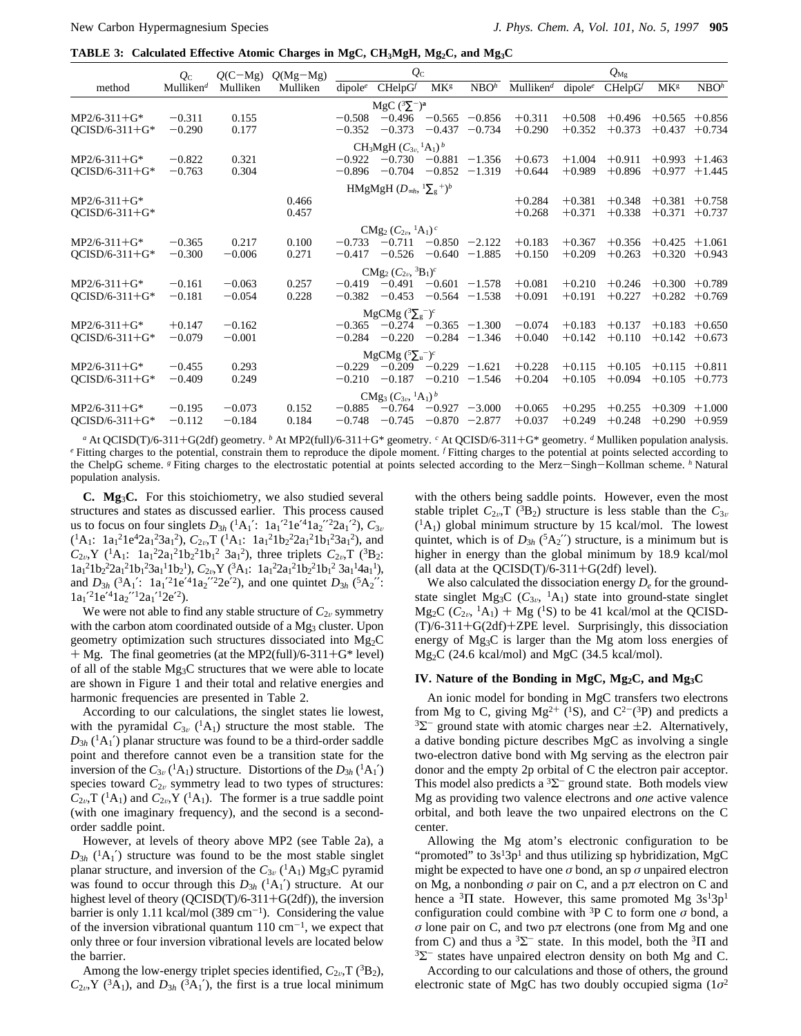**TABLE 3: Calculated Effective Atomic Charges in MgC, CH3MgH, Mg2C, and Mg3C**

|                  | $Q_{\rm C}$           | $Q(C-Mg)$ | $Q(Mg-Mg)$ |                     | $Q_{\rm C}$                                               |                   |                  |                          |                     | $Q_{\rm Mg}$ |                        |                  |
|------------------|-----------------------|-----------|------------|---------------------|-----------------------------------------------------------|-------------------|------------------|--------------------------|---------------------|--------------|------------------------|------------------|
| method           | Mulliken <sup>d</sup> | Mulliken  | Mulliken   | dipole <sup>e</sup> | $CHelpG^f$                                                | MK <sup>g</sup>   | NBO <sup>h</sup> | $M$ ulliken <sup>d</sup> | dipole <sup>e</sup> | $CHelpG^f$   | <b>MK</b> <sup>g</sup> | NBO <sup>h</sup> |
|                  |                       |           |            |                     | MgC $(^{3}\Sigma^{-})^{a}$                                |                   |                  |                          |                     |              |                        |                  |
| $MP2/6-311+G*$   | $-0.311$              | 0.155     |            | $-0.508$            |                                                           | $-0.496 -0.565$   | $-0.856$         | $+0.311$                 | $+0.508$            | $+0.496$     | $+0.565$               | $+0.856$         |
| $QCISD/6-311+G*$ | $-0.290$              | 0.177     |            | $-0.352$            | $-0.373$                                                  | $-0.437$          | $-0.734$         | $+0.290$                 | $+0.352$            | $+0.373$     | $+0.437$               | $+0.734$         |
|                  |                       |           |            |                     | CH <sub>3</sub> MgH $(C_{3n}^{-1}A_1)^b$                  |                   |                  |                          |                     |              |                        |                  |
| $MP2/6-311+G*$   | $-0.822$              | 0.321     |            |                     | $-0.922 -0.730$                                           | $-0.881$          | $-1.356$         | $+0.673$                 | $+1.004$            | $+0.911$     | $+0.993$               | $+1.463$         |
| $OCISD/6-311+G*$ | $-0.763$              | 0.304     |            | $-0.896$            | $-0.704$                                                  | $-0.852$          | $-1.319$         | $+0.644$                 | $+0.989$            | $+0.896$     | $+0.977$               | $+1.445$         |
|                  |                       |           |            |                     | HMgMgH $(D_{\infty h}, \frac{1}{2} \sum_{g}^{\infty} )^b$ |                   |                  |                          |                     |              |                        |                  |
| $MP2/6-311+G*$   |                       |           | 0.466      |                     |                                                           |                   |                  | $+0.284$                 | $+0.381$            | $+0.348$     | $+0.381$               | $+0.758$         |
| $OCISD/6-311+G*$ |                       |           | 0.457      |                     |                                                           |                   |                  | $+0.268$                 | $+0.371$            | $+0.338$     | $+0.371$               | $+0.737$         |
|                  |                       |           |            |                     | $C Mg_2 (C_{2v}, {}^{1}A_1)^c$                            |                   |                  |                          |                     |              |                        |                  |
| $MP2/6-311+G*$   | $-0.365$              | 0.217     | 0.100      | $-0.733$            | $-0.711$                                                  | $-0.850 -2.122$   |                  | $+0.183$                 | $+0.367$            | $+0.356$     | $+0.425$               | $+1.061$         |
| $OCISD/6-311+G*$ | $-0.300$              | $-0.006$  | 0.271      | $-0.417$            | $-0.526$                                                  | $-0.640$          | $-1.885$         | $+0.150$                 | $+0.209$            | $+0.263$     | $+0.320$               | $+0.943$         |
|                  |                       |           |            |                     | $CMg_2 (C_{2v}, {}^{3}B_1)^c$                             |                   |                  |                          |                     |              |                        |                  |
| $MP2/6-311+G*$   | $-0.161$              | $-0.063$  | 0.257      |                     | $-0.419 - 0.491$                                          | $-0.601 -1.578$   |                  | $+0.081$                 | $+0.210$            | $+0.246$     | $+0.300$               | $+0.789$         |
| $QCISD/6-311+G*$ | $-0.181$              | $-0.054$  | 0.228      | $-0.382$            | $-0.453$                                                  | $-0.564$ $-1.538$ |                  | $+0.091$                 | $+0.191$            | $+0.227$     | $+0.282$               | $+0.769$         |
|                  |                       |           |            |                     | MgCMg $(^{3}\Sigma_{g}^{-})^{c}$                          |                   |                  |                          |                     |              |                        |                  |
| $MP2/6-311+G*$   | $+0.147$              | $-0.162$  |            |                     | $-0.365$ $-0.274$ $-0.365$ $-1.300$                       |                   |                  | $-0.074$                 | $+0.183$            | $+0.137$     | $+0.183$               | $+0.650$         |
| $OCISD/6-311+G*$ | $-0.079$              | $-0.001$  |            |                     | $-0.284 -0.220$                                           | $-0.284$ $-1.346$ |                  | $+0.040$                 | $+0.142$            | $+0.110$     | $+0.142$               | $+0.673$         |
|                  |                       |           |            |                     | MgCMg $({}^5\Sigma_u^-)^c$                                |                   |                  |                          |                     |              |                        |                  |
| $MP2/6-311+G*$   | $-0.455$              | 0.293     |            | $-0.229$            | $-0.209 -0.229$                                           |                   | $-1.621$         | $+0.228$                 | $+0.115$            | $+0.105$     | $+0.115$               | $+0.811$         |
| $OCISD/6-311+G*$ | $-0.409$              | 0.249     |            | $-0.210$            | $-0.187$                                                  | $-0.210$          | $-1.546$         | $+0.204$                 | $+0.105$            | $+0.094$     | $+0.105$               | $+0.773$         |
|                  |                       |           |            |                     | $CMg_3(C_{3\nu},{}^{1}A_1)^b$                             |                   |                  |                          |                     |              |                        |                  |
| $MP2/6-311+G*$   | $-0.195$              | $-0.073$  | 0.152      | $-0.885$            | $-0.764$                                                  | $-0.927 -3.000$   |                  | $+0.065$                 | $+0.295$            | $+0.255$     | $+0.309$               | $+1.000$         |
| $QCISD/6-311+G*$ | $-0.112$              | $-0.184$  | 0.184      | $-0.748$            | $-0.745$                                                  | $-0.870 -2.877$   |                  | $+0.037$                 | $+0.249$            | $+0.248$     | $+0.290$               | $+0.959$         |

*<sup>a</sup>* At QCISD(T)/6-311+G(2df) geometry. *<sup>b</sup>* At MP2(full)/6-311+G\* geometry. *<sup>c</sup>* At QCISD/6-311+G\* geometry. *<sup>d</sup>* Mulliken population analysis. *<sup>e</sup>* Fitting charges to the potential, constrain them to reproduce the dipole moment. *<sup>f</sup>* Fitting charges to the potential at points selected according to the ChelpG scheme. *<sup>g</sup>* Fiting charges to the electrostatic potential at points selected according to the Merz-Singh-Kollman scheme. *<sup>h</sup>* Natural population analysis.

**C. Mg**3**C.** For this stoichiometry, we also studied several structures and states as discussed earlier. This process caused us to focus on four singlets  $D_{3h}$  (<sup>1</sup>A<sub>1</sub>': 1a<sub>1</sub>'<sup>2</sup>1e'<sup>4</sup>1a<sub>2</sub>''<sup>2</sup>2a<sub>1</sub>'<sup>2</sup>),  $C_{3v}$  $({}^{1}A_{1}: 1a_{1}^{2}1e^{4}2a_{1}^{2}3a_{1}^{2}), C_{2v}T({}^{1}A_{1}: 1a_{1}^{2}1b_{2}^{2}2a_{1}^{2}1b_{1}^{2}3a_{1}^{2}),$  and  $C_{2v}$ ,Y (<sup>1</sup>A<sub>1</sub>: 1a<sub>1</sub><sup>2</sup>2a<sub>1</sub><sup>2</sup>1b<sub>2</sub><sup>2</sup>1b<sub>1</sub><sup>2</sup> 3a<sub>1</sub><sup>2</sup>), three triplets  $C_{2v}$ ,T (<sup>3</sup>B<sub>2</sub>:  $1a_1^21b_2^22a_1^21b_1^23a_1^11b_2^1$ ,  $C_{2\nu}$ ,  $Y(^{3}A_1$ :  $1a_1^22a_1^21b_2^21b_1^23a_1^14a_1^1$ , and  $D_{3h}$  ( ${}^{3}A_{1}$ ':  $1a_{1}$ '' $1e$ '<sup>4</sup> $1a_{2}$ '' $2e$ ''), and one quintet  $D_{3h}$  ( ${}^{5}A_{2}$ '':  $1a_1^2e^41a_2^22a_1^22e^2$ .

We were not able to find any stable structure of  $C_{2v}$  symmetry with the carbon atom coordinated outside of a Mg<sub>3</sub> cluster. Upon geometry optimization such structures dissociated into Mg2C  $+$  Mg. The final geometries (at the MP2(full)/6-311+G\* level) of all of the stable Mg3C structures that we were able to locate are shown in Figure 1 and their total and relative energies and harmonic frequencies are presented in Table 2.

According to our calculations, the singlet states lie lowest, with the pyramidal  $C_{3v}$  (<sup>1</sup>A<sub>1</sub>) structure the most stable. The  $D_{3h}$  ( ${}^{1}A_{1}$ <sup>'</sup>) planar structure was found to be a third-order saddle point and therefore cannot even be a transition state for the inversion of the  $C_{3v}({}^{1}A_1)$  structure. Distortions of the  $D_{3h}({}^{1}A_1')$ species toward  $C_{2v}$  symmetry lead to two types of structures:  $C_{2v}$ ,T (<sup>1</sup>A<sub>1</sub>) and  $C_{2v}$ ,Y (<sup>1</sup>A<sub>1</sub>). The former is a true saddle point (with one imaginary frequency), and the second is a secondorder saddle point.

However, at levels of theory above MP2 (see Table 2a), a  $D_{3h}$  ( ${}^{1}A_{1}$ <sup>'</sup>) structure was found to be the most stable singlet planar structure, and inversion of the  $C_{3v}$  (<sup>1</sup>A<sub>1</sub>) Mg<sub>3</sub>C pyramid was found to occur through this  $D_{3h}({}^{1}A_{1})$  structure. At our highest level of theory (QCISD(T)/6-311+G(2df)), the inversion barrier is only 1.11 kcal/mol (389 cm<sup>-1</sup>). Considering the value of the inversion vibrational quantum  $110 \text{ cm}^{-1}$ , we expect that only three or four inversion vibrational levels are located below the barrier.

Among the low-energy triplet species identified,  $C_{2v}$ ,  $T(^{3}B_{2})$ ,  $C_{2v}$ , *Y* (<sup>3</sup>A<sub>1</sub>), and  $D_{3h}$  (<sup>3</sup>A<sub>1</sub>'), the first is a true local minimum with the others being saddle points. However, even the most stable triplet  $C_{2v}$ ,  $T(^{3}B_{2})$  structure is less stable than the  $C_{3v}$  $({}^{1}A_{1})$  global minimum structure by 15 kcal/mol. The lowest quintet, which is of  $D_{3h}$  ( ${}^{5}A_{2}$ ") structure, is a minimum but is higher in energy than the global minimum by 18.9 kcal/mol (all data at the  $QCISD(T)/6-311+G(2df)$  level).

We also calculated the dissociation energy  $D_e$  for the groundstate singlet Mg<sub>3</sub>C ( $C_{3v}$ , <sup>1</sup>A<sub>1</sub>) state into ground-state singlet  $Mg_2C$  ( $C_{2v}$ , <sup>1</sup>A<sub>1</sub>) + Mg (<sup>1</sup>S) to be 41 kcal/mol at the QCISD-(T)/6-311+G(2df)+ZPE level. Surprisingly, this dissociation energy of Mg3C is larger than the Mg atom loss energies of Mg2C (24.6 kcal/mol) and MgC (34.5 kcal/mol).

### **IV. Nature of the Bonding in MgC, Mg2C, and Mg3C**

An ionic model for bonding in MgC transfers two electrons from Mg to C, giving  $Mg^{2+}$  (<sup>1</sup>S), and C<sup>2-</sup>(<sup>3</sup>P) and predicts a  $3\Sigma$ <sup>-</sup> ground state with atomic charges near  $\pm$ 2. Alternatively, a dative bonding picture describes MgC as involving a single two-electron dative bond with Mg serving as the electron pair donor and the empty 2p orbital of C the electron pair acceptor. This model also predicts a  ${}^{3}\Sigma^{-}$  ground state. Both models view Mg as providing two valence electrons and *one* active valence orbital, and both leave the two unpaired electrons on the C center.

Allowing the Mg atom's electronic configuration to be "promoted" to  $3s<sup>1</sup>3p<sup>1</sup>$  and thus utilizing sp hybridization, MgC might be expected to have one  $\sigma$  bond, an sp  $\sigma$  unpaired electron on Mg, a nonbonding *σ* pair on C, and a p*π* electron on C and hence a  ${}^{3}$ II state. However, this same promoted Mg  $3s^{1}3p^{1}$ configuration could combine with 3P C to form one *σ* bond, a *σ* lone pair on C, and two p*π* electrons (one from Mg and one from C) and thus a  ${}^{3}\Sigma^{-}$  state. In this model, both the  ${}^{3}\Pi$  and  $3\Sigma^-$  states have unpaired electron density on both Mg and C.

According to our calculations and those of others, the ground electronic state of MgC has two doubly occupied sigma (1*σ*<sup>2</sup>